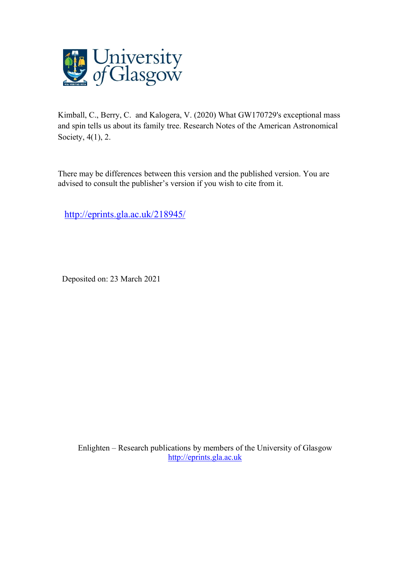

Kimball, C., Berry, C. and Kalogera, V. (2020) What GW170729's exceptional mass and spin tells us about its family tree. Research Notes of the American Astronomical Society, 4(1), 2.

There may be differences between this version and the published version. You are advised to consult the publisher's version if you wish to cite from it.

<http://eprints.gla.ac.uk/218945/>

Deposited on: 23 March 2021

Enlighten – Research publications by members of the University of Glasgow [http://eprints.gla.ac.uk](http://eprints.gla.ac.uk/)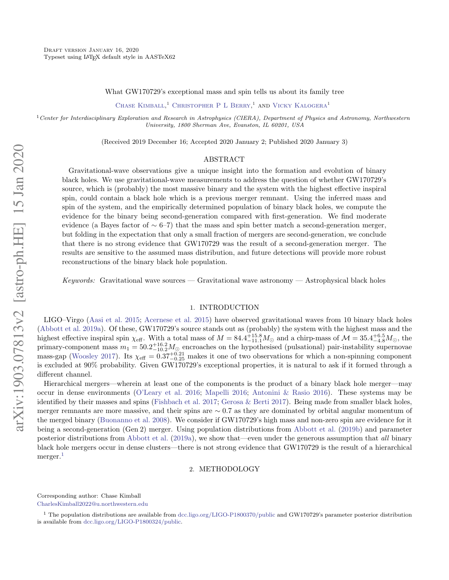What GW170729's exceptional mass and spin tells us about its family tree

CHASE KIMBALL,<sup>1</sup> CHRISTOPHER P L BERRY,<sup>1</sup> AND VICKY KALOGERA<sup>1</sup>

<sup>1</sup>*Center for Interdisciplinary Exploration and Research in Astrophysics (CIERA), Department of Physics and Astronomy, Northwestern University, 1800 Sherman Ave, Evanston, IL 60201, USA*

(Received 2019 December 16; Accepted 2020 January 2; Published 2020 January 3)

#### ABSTRACT

Gravitational-wave observations give a unique insight into the formation and evolution of binary black holes. We use gravitational-wave measurements to address the question of whether GW170729's source, which is (probably) the most massive binary and the system with the highest effective inspiral spin, could contain a black hole which is a previous merger remnant. Using the inferred mass and spin of the system, and the empirically determined population of binary black holes, we compute the evidence for the binary being second-generation compared with first-generation. We find moderate evidence (a Bayes factor of  $\sim 6-7$ ) that the mass and spin better match a second-generation merger, but folding in the expectation that only a small fraction of mergers are second-generation, we conclude that there is no strong evidence that GW170729 was the result of a second-generation merger. The results are sensitive to the assumed mass distribution, and future detections will provide more robust reconstructions of the binary black hole population.

*Keywords:* Gravitational wave sources — Gravitational wave astronomy — Astrophysical black holes

### 1. INTRODUCTION

LIGO–Virgo [\(Aasi et al.](#page-3-0) [2015;](#page-3-0) [Acernese et al.](#page-3-1) [2015\)](#page-3-1) have observed gravitational waves from 10 binary black holes [\(Abbott et al.](#page-3-2) [2019a\)](#page-3-2). Of these, GW170729's source stands out as (probably) the system with the highest mass and the highest effective inspiral spin  $\chi_{\text{eff}}$ . With a total mass of  $M = 84.4^{+15.8}_{-11.1} M_{\odot}$  and a chirp-mass of  $\mathcal{M} = 35.4^{+6.5}_{-4.8} M_{\odot}$ , the primary-component mass  $m_1 = 50.2_{-10.2}^{+16.2} M_{\odot}$  encroaches on the hypothesised (pulsational) pair-instability supernovae mass-gap [\(Woosley](#page-3-3) [2017\)](#page-3-3). Its  $\chi_{\text{eff}} = 0.37_{-0.25}^{+0.21}$  makes it one of two observations for which a non-spinning component is excluded at 90% probability. Given GW170729's exceptional properties, it is natural to ask if it formed through a different channel.

Hierarchical mergers—wherein at least one of the components is the product of a binary black hole merger—may occur in dense environments [\(O'Leary et al.](#page-3-4) [2016;](#page-3-4) [Mapelli](#page-3-5) [2016;](#page-3-5) [Antonini & Rasio](#page-3-6) [2016\)](#page-3-6). These systems may be identified by their masses and spins [\(Fishbach et al.](#page-3-7) [2017;](#page-3-7) [Gerosa & Berti](#page-3-8) [2017\)](#page-3-8). Being made from smaller black holes, merger remnants are more massive, and their spins are  $\sim 0.7$  as they are dominated by orbital angular momentum of the merged binary [\(Buonanno et al.](#page-3-9) [2008\)](#page-3-9). We consider if GW170729's high mass and non-zero spin are evidence for it being a second-generation (Gen 2) merger. Using population distributions from [Abbott et al.](#page-3-10) [\(2019b\)](#page-3-10) and parameter posterior distributions from [Abbott et al.](#page-3-2) [\(2019a\)](#page-3-2), we show that—even under the generous assumption that *all* binary black hole mergers occur in dense clusters—there is not strong evidence that GW170729 is the result of a hierarchical merger.<sup>[1](#page-1-0)</sup>

### 2. METHODOLOGY

Corresponding author: Chase Kimball

CharlesKimball2022@u.northwestern.edu

<span id="page-1-0"></span><sup>&</sup>lt;sup>1</sup> The population distributions are available from [dcc.ligo.org/LIGO-P1800370/public](https://dcc.ligo.org/LIGO-P1800370/public) and GW170729's parameter posterior distribution is available from [dcc.ligo.org/LIGO-P1800324/public.](https://dcc.ligo.org/LIGO-P1800324/public)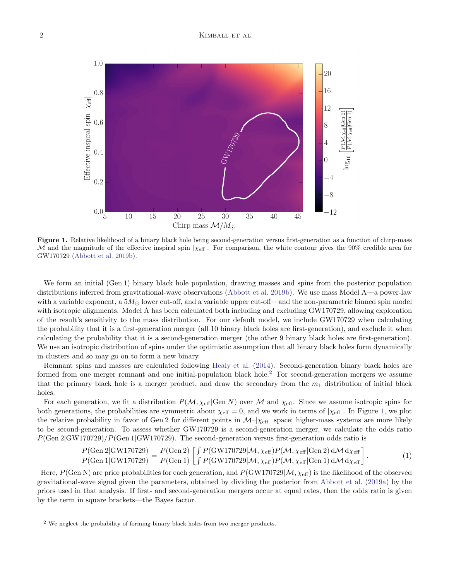

<span id="page-2-1"></span>Figure 1. Relative likelihood of a binary black hole being second-generation versus first-generation as a function of chirp-mass *M* and the magnitude of the effective inspiral spin  $|\chi_{\text{eff}}|$ . For comparison, the white contour gives the 90% credible area for GW170729 [\(Abbott et al.](#page-3-10) [2019b\)](#page-3-10).

We form an initial (Gen 1) binary black hole population, drawing masses and spins from the posterior population distributions inferred from gravitational-wave observations [\(Abbott et al.](#page-3-10) [2019b\)](#page-3-10). We use mass Model A—a power-law with a variable exponent, a  $5M_{\odot}$  lower cut-off, and a variable upper cut-off—and the non-parametric binned spin model with isotropic alignments. Model A has been calculated both including and excluding GW170729, allowing exploration of the result's sensitivity to the mass distribution. For our default model, we include GW170729 when calculating the probability that it is a first-generation merger (all 10 binary black holes are first-generation), and exclude it when calculating the probability that it is a second-generation merger (the other 9 binary black holes are first-generation). We use an isotropic distribution of spins under the optimistic assumption that all binary black holes form dynamically in clusters and so may go on to form a new binary.

Remnant spins and masses are calculated following [Healy et al.](#page-3-11) [\(2014\)](#page-3-11). Second-generation binary black holes are formed from one merger remnant and one initial-population black hole.[2](#page-2-0) For second-generation mergers we assume that the primary black hole is a merger product, and draw the secondary from the  $m_1$  distribution of initial black holes.

For each generation, we fit a distribution  $P(\mathcal{M}, \chi_{\text{eff}} | \text{Gen } N)$  over  $\mathcal{M}$  and  $\chi_{\text{eff}}$ . Since we assume isotropic spins for both generations, the probabilities are symmetric about  $\chi_{\text{eff}} = 0$ , and we work in terms of  $|\chi_{\text{eff}}|$ . In Figure [1,](#page-2-1) we plot the relative probability in favor of Gen 2 for different points in  $\mathcal{M}$ – $|\chi_{\text{eff}}|$  space; higher-mass systems are more likely to be second-generation. To assess whether GW170729 is a second-generation merger, we calculate the odds ratio *P*(Gen 2*|*GW170729)*/P*(Gen 1*|*GW170729). The second-generation versus first-generation odds ratio is

$$
\frac{P(\text{Gen 2}|\text{GW170729})}{P(\text{Gen 1}|\text{GW170729})} = \frac{P(\text{Gen 2})}{P(\text{Gen 1})} \left[ \frac{\int P(\text{GW170729}|\mathcal{M}, \chi_{\text{eff}}) P(\mathcal{M}, \chi_{\text{eff}}|\text{Gen 2}) \, d\mathcal{M} \, d\chi_{\text{eff}}}{\int P(\text{GW170729}|\mathcal{M}, \chi_{\text{eff}}) P(\mathcal{M}, \chi_{\text{eff}}|\text{Gen 1}) \, d\mathcal{M} \, d\chi_{\text{eff}}} \right].
$$
\n(1)

Here,  $P(\text{Gen N})$  are prior probabilities for each generation, and  $P(\text{GW170729}|\mathcal{M}, \chi_{\text{eff}})$  is the likelihood of the observed gravitational-wave signal given the parameters, obtained by dividing the posterior from [Abbott et al.](#page-3-2) [\(2019a\)](#page-3-2) by the priors used in that analysis. If first- and second-generation mergers occur at equal rates, then the odds ratio is given by the term in square brackets—the Bayes factor.

<span id="page-2-0"></span><sup>2</sup> We neglect the probability of forming binary black holes from two merger products.